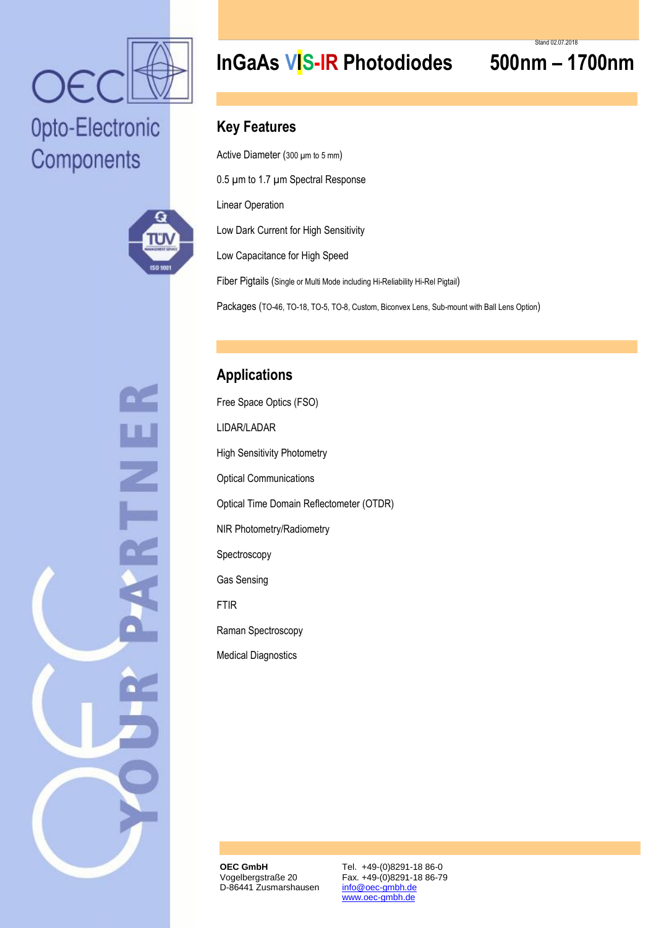

# Opto-Electronic Components



 $\overline{\mathbb{Z}}$ 

## **InGaAs VIS-IR Photodiodes 500nm – 1700nm**

### **Key Features**

Active Diameter (300 µm to 5 mm)

0.5 µm to 1.7 µm Spectral Response

Linear Operation

Low Dark Current for High Sensitivity

Low Capacitance for High Speed

Fiber Pigtails (Single or Multi Mode including Hi-Reliability Hi-Rel Pigtail)

Packages (TO-46, TO-18, TO-5, TO-8, Custom, Biconvex Lens, Sub-mount with Ball Lens Option)

## **Applications**

Free Space Optics (FSO) LIDAR/LADAR High Sensitivity Photometry Optical Communications Optical Time Domain Reflectometer (OTDR) NIR Photometry/Radiometry Spectroscopy Gas Sensing FTIR Raman Spectroscopy Medical Diagnostics

**OEC GmbH** Vogelbergstraße 20 D-86441 Zusmarshausen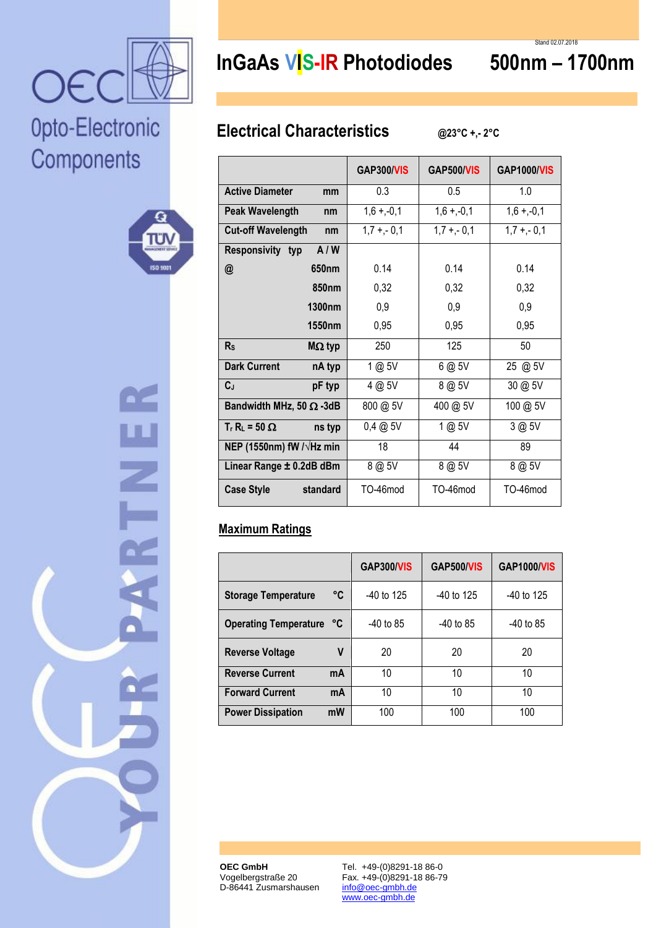

۵

ا کا ا

**ISO 500** 

Opto-Electronic

Components

## **InGaAs VIS-IR Photodiodes 500nm – 1700nm**

## **Electrical Characteristics @23°C +,- 2°C**

|                                  | GAP300/VIS   | GAP500/VIS   | <b>GAP1000/VIS</b> |  |
|----------------------------------|--------------|--------------|--------------------|--|
| <b>Active Diameter</b><br>mm     | 0.3<br>0.5   |              | 1.0                |  |
| <b>Peak Wavelength</b><br>nm     | $1,6 + -0,1$ | $1,6 + -0,1$ | $1,6 + -0,1$       |  |
| <b>Cut-off Wavelength</b><br>nm  | $1,7 + -0,1$ | $1,7 + -0,1$ | $1,7 + -0,1$       |  |
| A/W<br>Responsivity typ          |              |              |                    |  |
| 650 <sub>nm</sub><br>@           | 0.14         | 0.14         | 0.14               |  |
| 850 <sub>nm</sub>                | 0,32         | 0,32         | 0,32               |  |
| 1300nm                           | 0,9          | 0,9          | 0,9                |  |
| 1550nm                           | 0,95         | 0,95         | 0,95               |  |
| R <sub>S</sub><br>$MΩ$ typ       | 250          | 125          | 50                 |  |
| <b>Dark Current</b><br>nA typ    | 1 @ 5V       | 6 @ 5V       | 25 @ 5V            |  |
| $C_{J}$<br>pF typ                | 4 @ 5V       | 8 @ 5V       | 30 @ 5V            |  |
| Bandwidth MHz, 50 $\Omega$ -3dB  | 800 @ 5V     | 400 @ 5V     | 100 @ 5V           |  |
| $T_r R_l = 50 \Omega$<br>ns typ  | $0,4 \ @ 5V$ | 1 @ 5V       | 3 @ 5V             |  |
| NEP (1550nm) fW $/\sqrt{Hz}$ min | 18           | 44           | 89                 |  |
| Linear Range ± 0.2dB dBm         | 8 @ 5V       | 8 @ 5V       | 8 @ 5V             |  |
| <b>Case Style</b><br>standard    | TO-46mod     | TO-46mod     | TO-46mod           |  |

### **Maximum Ratings**

|                                   | <b>GAP300/VIS</b> | <b>GAP500/VIS</b> | <b>GAP1000/VIS</b> |
|-----------------------------------|-------------------|-------------------|--------------------|
| °C<br><b>Storage Temperature</b>  | $-40$ to 125      | $-40$ to 125      | -40 to 125         |
| <b>Operating Temperature</b><br>℃ | $-40$ to 85       | $-40$ to 85       | $-40$ to 85        |
| ٧<br><b>Reverse Voltage</b>       | 20                | 20                | 20                 |
| <b>Reverse Current</b><br>mA      | 10                | 10                | 10                 |
| <b>Forward Current</b><br>mA      | 10                | 10                | 10                 |
| mW<br><b>Power Dissipation</b>    | 100               | 100               | 100                |

**OEC GmbH** Vogelbergstraße 20 D-86441 Zusmarshausen

Tel. +49-(0)8291-18 86-0 Fax. +49-(0)8291-18 86-79 info@oec-gmbh.de www.oec-gmbh.de

Stand 02.07.2018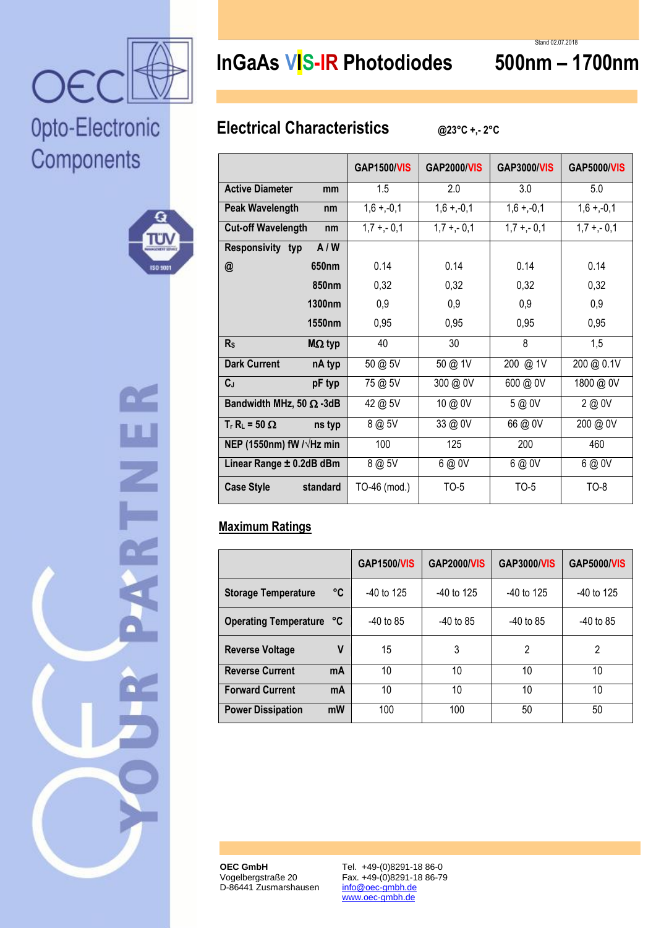

۵

π۱

**ISO 500** 

Opto-Electronic

Components

# **InGaAs VIS-IR Photodiodes 500nm – 1700nm**

Stand 02.07.2018

## **Electrical Characteristics @23°C +,- 2°C**

|                                  | <b>GAP1500/VIS</b> | <b>GAP2000/VIS</b> | <b>GAP3000/VIS</b> | <b>GAP5000/VIS</b> |
|----------------------------------|--------------------|--------------------|--------------------|--------------------|
| <b>Active Diameter</b><br>mm     | 1.5                | 2.0                | 3.0                | 5.0                |
| <b>Peak Wavelength</b><br>nm     | $1,6 + -0,1$       | $1,6 + -0,1$       | $1,6 + -0,1$       | $1,6 + -0,1$       |
| <b>Cut-off Wavelength</b><br>nm  | $1,7 + -0,1$       | $1,7 + -0,1$       | $1,7 + -0,1$       | $1,7 + -0,1$       |
| A/W<br>Responsivity typ          |                    |                    |                    |                    |
| 650nm<br>@                       | 0.14               | 0.14               | 0.14               | 0.14               |
| <b>850nm</b>                     | 0,32               | 0,32               | 0,32               | 0,32               |
| 1300nm                           | 0,9                | 0,9                | 0,9                | 0,9                |
| 1550nm                           | 0,95               | 0,95               | 0,95               | 0,95               |
| R <sub>s</sub><br>$M\Omega$ typ  | 40                 | 30                 | 8                  | 1,5                |
| <b>Dark Current</b><br>nA typ    | 50 @ 5V            | 50 @ 1V            | 200 @ 1V           | 200 @ 0.1V         |
| $C_{J}$<br>pF typ                | 75 @ 5V            | 300 @ 0V           | 600 @ 0V           | 1800 @ 0V          |
| Bandwidth MHz, 50 $\Omega$ -3dB  | 42 @ 5V            | 10 @ 0V            | 5 @ 0V             | 2 @ 0V             |
| $T_r R_l = 50 \Omega$<br>ns typ  | 8 @ 5V             | 33 @ 0V            | 66 @ 0V            | 200 @ 0V           |
| NEP (1550nm) fW $/\sqrt{Hz}$ min | 100                | 125                | 200                | 460                |
| Linear Range ± 0.2dB dBm         | 8 @ 5V             | 6 @ 0V             | 6 @ 0V             | 6 @ 0V             |
| <b>Case Style</b><br>standard    | TO-46 (mod.)       | TO-5               | <b>TO-5</b>        | $TO-8$             |

### **Maximum Ratings**

|                                  | <b>GAP1500/VIS</b> | <b>GAP2000/VIS</b> | <b>GAP3000/VIS</b> | <b>GAP5000/VIS</b> |
|----------------------------------|--------------------|--------------------|--------------------|--------------------|
| °C<br><b>Storage Temperature</b> | $-40$ to 125       | -40 to 125         | -40 to 125         | $-40$ to 125       |
| Operating Temperature °C         | $-40$ to 85        | $-40$ to 85        | $-40$ to 85        | $-40$ to 85        |
| V<br><b>Reverse Voltage</b>      | 15                 | 3                  | $\mathfrak{p}$     | $\mathfrak{p}$     |
| <b>Reverse Current</b><br>mA     | 10                 | 10                 | 10                 | 10                 |
| <b>Forward Current</b><br>mA     | 10                 | 10                 | 10                 | 10                 |
| mW<br><b>Power Dissipation</b>   | 100                | 100                | 50                 | 50                 |

**OEC GmbH** Vogelbergstraße 20 D-86441 Zusmarshausen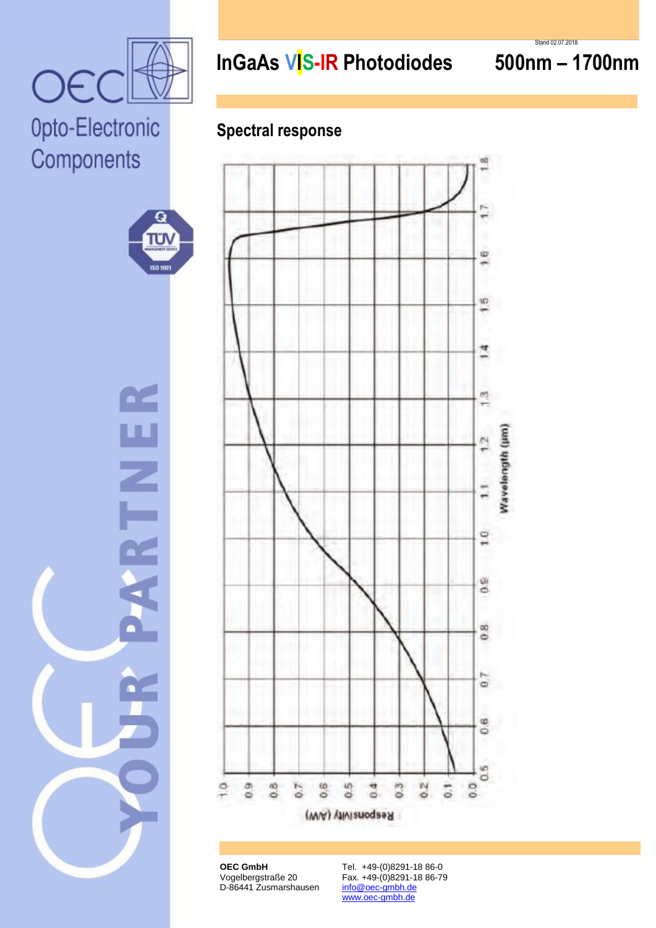

# Opto-Electronic Components



Z



## **Spectral response**



**OEC GmbH** Vogelbergstraße 20 D-86441 Zusmarshausen

Tel. +49-(0)8291-18 86-0 Fax. +49-(0)8291-18 86-79 info@oec-gmbh.de www.oec-gmbh.de

Stand 02.07.2018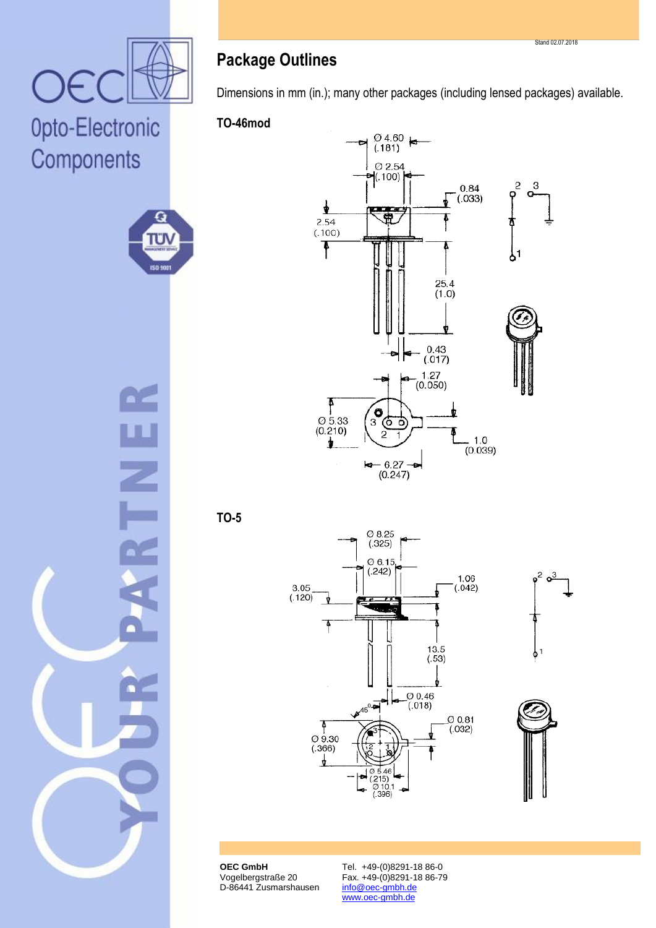

 $\overline{\mathbf{Q}}$ 

πυ

ISO 5001

# Opto-Electronic Components



Dimensions in mm (in.); many other packages (including lensed packages) available.

### **TO-46mod**



**TO-5**







**OEC GmbH** Vogelbergstraße 20 D-86441 Zusmarshausen